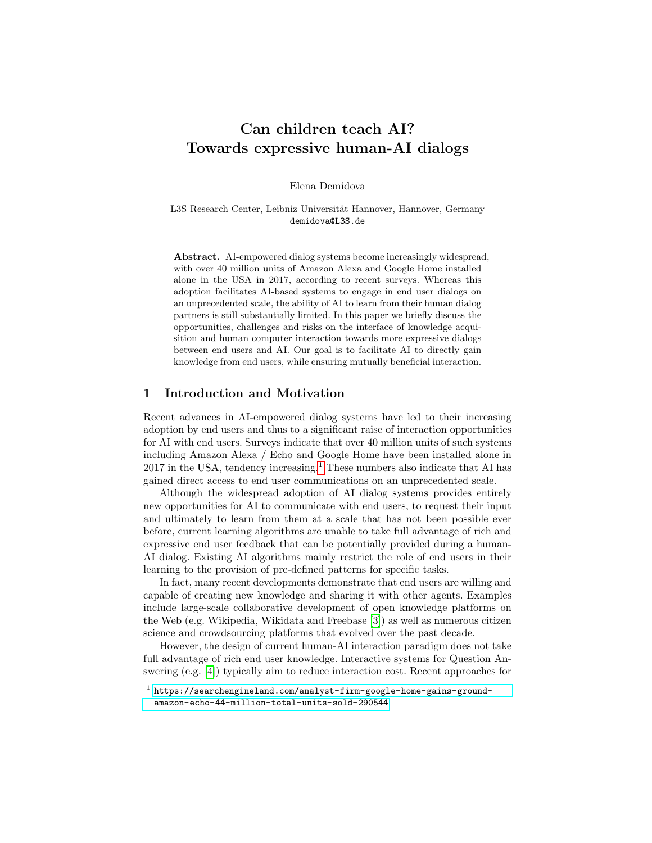# Can children teach AI? Towards expressive human-AI dialogs

Elena Demidova

L3S Research Center, Leibniz Universität Hannover, Hannover, Germany demidova@L3S.de

Abstract. AI-empowered dialog systems become increasingly widespread, with over 40 million units of Amazon Alexa and Google Home installed alone in the USA in 2017, according to recent surveys. Whereas this adoption facilitates AI-based systems to engage in end user dialogs on an unprecedented scale, the ability of AI to learn from their human dialog partners is still substantially limited. In this paper we briefly discuss the opportunities, challenges and risks on the interface of knowledge acquisition and human computer interaction towards more expressive dialogs between end users and AI. Our goal is to facilitate AI to directly gain knowledge from end users, while ensuring mutually beneficial interaction.

### 1 Introduction and Motivation

Recent advances in AI-empowered dialog systems have led to their increasing adoption by end users and thus to a significant raise of interaction opportunities for AI with end users. Surveys indicate that over 40 million units of such systems including Amazon Alexa / Echo and Google Home have been installed alone in 2017 in the USA, tendency increasing.[1](#page-0-0) These numbers also indicate that AI has gained direct access to end user communications on an unprecedented scale.

Although the widespread adoption of AI dialog systems provides entirely new opportunities for AI to communicate with end users, to request their input and ultimately to learn from them at a scale that has not been possible ever before, current learning algorithms are unable to take full advantage of rich and expressive end user feedback that can be potentially provided during a human-AI dialog. Existing AI algorithms mainly restrict the role of end users in their learning to the provision of pre-defined patterns for specific tasks.

In fact, many recent developments demonstrate that end users are willing and capable of creating new knowledge and sharing it with other agents. Examples include large-scale collaborative development of open knowledge platforms on the Web (e.g. Wikipedia, Wikidata and Freebase [\[3\]](#page-3-0)) as well as numerous citizen science and crowdsourcing platforms that evolved over the past decade.

However, the design of current human-AI interaction paradigm does not take full advantage of rich end user knowledge. Interactive systems for Question Answering (e.g. [\[4\]](#page-3-1)) typically aim to reduce interaction cost. Recent approaches for

<span id="page-0-0"></span> $^{\rm 1}$  [https://searchengineland.com/analyst-firm-google-home-gains-ground](https://searchengineland.com/analyst-firm-google-home-gains-ground-amazon-echo-44-million-total-units-sold-290544)[amazon-echo-44-million-total-units-sold-290544](https://searchengineland.com/analyst-firm-google-home-gains-ground-amazon-echo-44-million-total-units-sold-290544)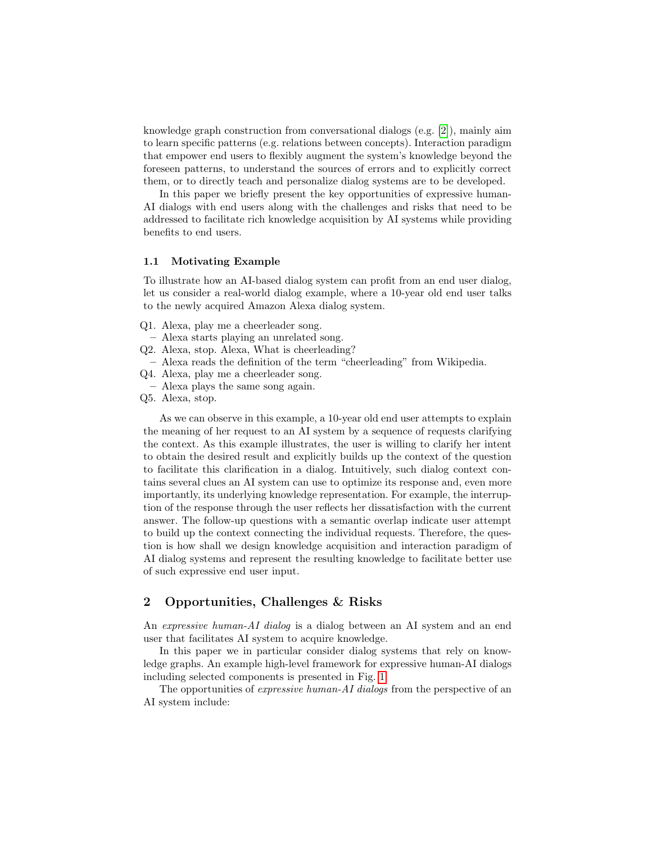knowledge graph construction from conversational dialogs (e.g. [\[2\]](#page-3-2)), mainly aim to learn specific patterns (e.g. relations between concepts). Interaction paradigm that empower end users to flexibly augment the system's knowledge beyond the foreseen patterns, to understand the sources of errors and to explicitly correct them, or to directly teach and personalize dialog systems are to be developed.

In this paper we briefly present the key opportunities of expressive human-AI dialogs with end users along with the challenges and risks that need to be addressed to facilitate rich knowledge acquisition by AI systems while providing benefits to end users.

#### 1.1 Motivating Example

To illustrate how an AI-based dialog system can profit from an end user dialog, let us consider a real-world dialog example, where a 10-year old end user talks to the newly acquired Amazon Alexa dialog system.

- Q1. Alexa, play me a cheerleader song.
- Alexa starts playing an unrelated song.
- Q2. Alexa, stop. Alexa, What is cheerleading?
- Alexa reads the definition of the term "cheerleading" from Wikipedia.
- Q4. Alexa, play me a cheerleader song.
- Alexa plays the same song again.
- Q5. Alexa, stop.

As we can observe in this example, a 10-year old end user attempts to explain the meaning of her request to an AI system by a sequence of requests clarifying the context. As this example illustrates, the user is willing to clarify her intent to obtain the desired result and explicitly builds up the context of the question to facilitate this clarification in a dialog. Intuitively, such dialog context contains several clues an AI system can use to optimize its response and, even more importantly, its underlying knowledge representation. For example, the interruption of the response through the user reflects her dissatisfaction with the current answer. The follow-up questions with a semantic overlap indicate user attempt to build up the context connecting the individual requests. Therefore, the question is how shall we design knowledge acquisition and interaction paradigm of AI dialog systems and represent the resulting knowledge to facilitate better use of such expressive end user input.

### 2 Opportunities, Challenges & Risks

An expressive human-AI dialog is a dialog between an AI system and an end user that facilitates AI system to acquire knowledge.

In this paper we in particular consider dialog systems that rely on knowledge graphs. An example high-level framework for expressive human-AI dialogs including selected components is presented in Fig. [1.](#page-2-0)

The opportunities of *expressive human-AI dialogs* from the perspective of an AI system include: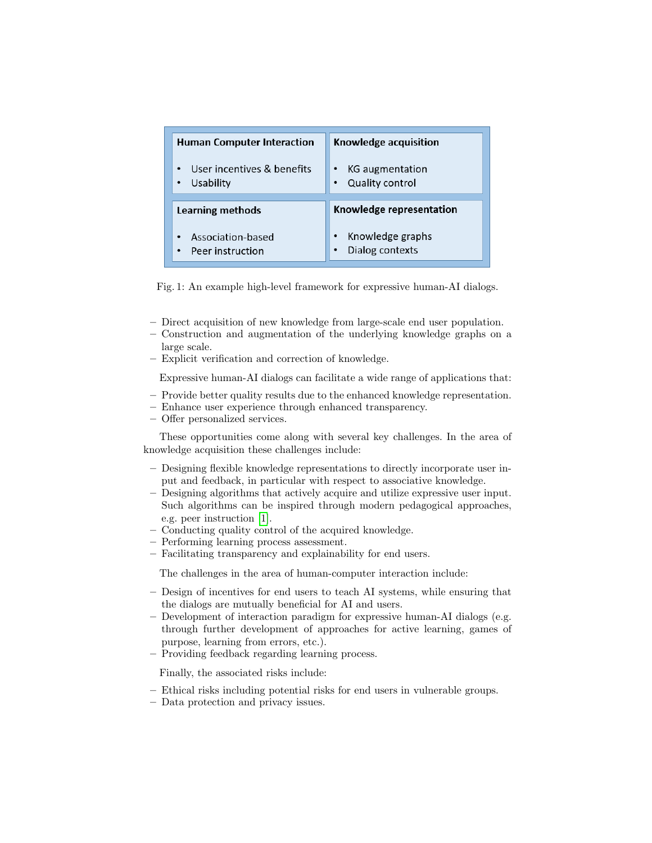<span id="page-2-0"></span>

| <b>Human Computer Interaction</b> | Knowledge acquisition    |
|-----------------------------------|--------------------------|
| User incentives & benefits        | <b>KG</b> augmentation   |
| Usability                         | <b>Quality control</b>   |
| Learning methods                  | Knowledge representation |
| Association-based                 | Knowledge graphs         |
| Peer instruction                  | Dialog contexts          |

Fig. 1: An example high-level framework for expressive human-AI dialogs.

- Direct acquisition of new knowledge from large-scale end user population.
- Construction and augmentation of the underlying knowledge graphs on a large scale.
- Explicit verification and correction of knowledge.

Expressive human-AI dialogs can facilitate a wide range of applications that:

- Provide better quality results due to the enhanced knowledge representation.
- Enhance user experience through enhanced transparency.
- Offer personalized services.

These opportunities come along with several key challenges. In the area of knowledge acquisition these challenges include:

- Designing flexible knowledge representations to directly incorporate user input and feedback, in particular with respect to associative knowledge.
- Designing algorithms that actively acquire and utilize expressive user input. Such algorithms can be inspired through modern pedagogical approaches, e.g. peer instruction [\[1\]](#page-3-3).
- Conducting quality control of the acquired knowledge.
- Performing learning process assessment.
- Facilitating transparency and explainability for end users.

The challenges in the area of human-computer interaction include:

- Design of incentives for end users to teach AI systems, while ensuring that the dialogs are mutually beneficial for AI and users.
- Development of interaction paradigm for expressive human-AI dialogs (e.g. through further development of approaches for active learning, games of purpose, learning from errors, etc.).
- Providing feedback regarding learning process.

Finally, the associated risks include:

- Ethical risks including potential risks for end users in vulnerable groups.
- Data protection and privacy issues.